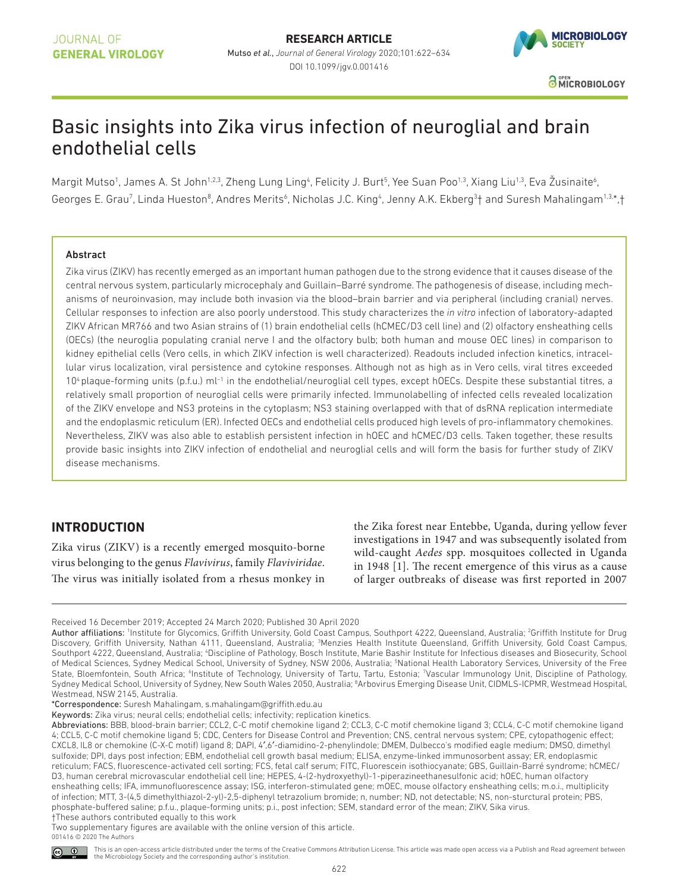# JOURNAL OF **GENERAL VIROLOGY**

**RESEARCH ARTICLE** Mutso *et al.*, *Journal of General Virology* 2020;101:622–634 DOI 10.1099/jgv.0.001416



# Basic insights into Zika virus infection of neuroglial and brain endothelial cells

Margit Mutso<sup>1</sup>, James A. St John<sup>1,2,3</sup>, Zheng Lung Ling<sup>4</sup>, Felicity J. Burt<sup>5</sup>, Yee Suan Poo<sup>1,3</sup>, Xiang Liu<sup>1,3</sup>, Eva Žusinaite<sup>6</sup>, Georges E. Grau<sup>7</sup>, Linda Hueston<sup>8</sup>, Andres Merits<sup>6</sup>, Nicholas J.C. King<sup>4</sup>, Jenny A.K. Ekberg<sup>3</sup>† and Suresh Mahalingam<sup>1,3</sup>\*,†

#### Abstract

Zika virus (ZIKV) has recently emerged as an important human pathogen due to the strong evidence that it causes disease of the central nervous system, particularly microcephaly and Guillain–Barré syndrome. The pathogenesis of disease, including mechanisms of neuroinvasion, may include both invasion via the blood–brain barrier and via peripheral (including cranial) nerves. Cellular responses to infection are also poorly understood. This study characterizes the *in vitro* infection of laboratory- adapted ZIKV African MR766 and two Asian strains of (1) brain endothelial cells (hCMEC/D3 cell line) and (2) olfactory ensheathing cells (OECs) (the neuroglia populating cranial nerve I and the olfactory bulb; both human and mouse OEC lines) in comparison to kidney epithelial cells (Vero cells, in which ZIKV infection is well characterized). Readouts included infection kinetics, intracellular virus localization, viral persistence and cytokine responses. Although not as high as in Vero cells, viral titres exceeded 10<sup>4</sup> plaque-forming units (p.f.u.) ml<sup>-1</sup> in the endothelial/neuroglial cell types, except hOECs. Despite these substantial titres, a relatively small proportion of neuroglial cells were primarily infected. Immunolabelling of infected cells revealed localization of the ZIKV envelope and NS3 proteins in the cytoplasm; NS3 staining overlapped with that of dsRNA replication intermediate and the endoplasmic reticulum (ER). Infected OECs and endothelial cells produced high levels of pro-inflammatory chemokines. Nevertheless, ZIKV was also able to establish persistent infection in hOEC and hCMEC/D3 cells. Taken together, these results provide basic insights into ZIKV infection of endothelial and neuroglial cells and will form the basis for further study of ZIKV disease mechanisms.

# **InTRoduCTIon**

Zika virus (ZIKV) is a recently emerged mosquito- borne virus belonging to the genus Flavivirus, family Flaviviridae. The virus was initially isolated from a rhesus monkey in

the Zika forest near Entebbe, Uganda, during yellow fever investigations in 1947 and was subsequently isolated from wild- caught Aedes spp. mosquitoes collected in Uganda in 1948 [1]. The recent emergence of this virus as a cause of larger outbreaks of disease was first reported in 2007

\*Correspondence: Suresh Mahalingam, s. mahalingam@ griffith. edu. au

Keywords: Zika virus; neural cells; endothelial cells; infectivity; replication kinetics.

Received 16 December 2019; Accepted 24 March 2020; Published 30 April 2020

Author affiliations: Institute for Glycomics, Griffith University, Gold Coast Campus, Southport 4222, Queensland, Australia; <sup>2</sup>Griffith Institute for Drug Discovery, Griffith University, Nathan 4111, Queensland, Australia; 3Menzies Health Institute Queensland, Griffith University, Gold Coast Campus, Southport 4222, Queensland, Australia; 4Discipline of Pathology, Bosch Institute, Marie Bashir Institute for Infectious diseases and Biosecurity, School of Medical Sciences, Sydney Medical School, University of Sydney, NSW 2006, Australia; <sup>5</sup>National Health Laboratory Services, University of the Free State, Bloemfontein, South Africa; <sup>6</sup>Institute of Technology, University of Tartu, Tartu, Estonia; "Vascular Immunology Unit, Discipline of Pathology, Sydney Medical School, University of Sydney, New South Wales 2050, Australia; <sup>8</sup>Arbovirus Emerging Disease Unit, CIDMLS-ICPMR, Westmead Hospital, Westmead, NSW 2145, Australia.

Abbreviations: BBB, blood-brain barrier; CCL2, C-C motif chemokine ligand 2; CCL3, C-C motif chemokine ligand 3; CCL4, C-C motif chemokine ligand 4; CCL5, C- C motif chemokine ligand 5; CDC, Centers for Disease Control and Prevention; CNS, central nervous system; CPE, cytopathogenic effect; CXCL8, IL8 or chemokine (C-X-C motif) ligand 8; DAPI, 4',6'-diamidino-2-phenylindole; DMEM, Dulbecco's modified eagle medium; DMSO, dimethyl sulfoxide; DPI, days post infection; EBM, endothelial cell growth basal medium; ELISA, enzyme- linked immunosorbent assay; ER, endoplasmic reticulum; FACS, fluorescence-activated cell sorting; FCS, fetal calf serum; FITC, Fluorescein isothiocyanate; GBS, Guillain-Barré syndrome; hCMEC/ D3, human cerebral microvascular endothelial cell line; HEPES, 4-(2- hydroxyethyl)-1- piperazineethanesulfonic acid; hOEC, human olfactory ensheathing cells; IFA, immunofluorescence assay; ISG, interferon- stimulated gene; mOEC, mouse olfactory ensheathing cells; m.o.i., multiplicity of infection; MTT, 3-(4,5 dimethylthiazol-2-yl)-2,5-diphenyl tetrazolium bromide; n, number; ND, not detectable; NS, non-sturctural protein; PBS, phosphate- buffered saline; p.f.u., plaque- forming units; p.i., post infection; SEM, standard error of the mean; ZIKV, Sika virus. †These authors contributed equally to this work

Two supplementary figures are available with the online version of this article. 001416 © 2020 The Authors

This is an open-access article distributed under the terms of the Creative Commons Attribution License. This article was made open access via a Publish and Read agreement between  $\circ$   $\circ$ the Microbiology Society and the corresponding author's institution.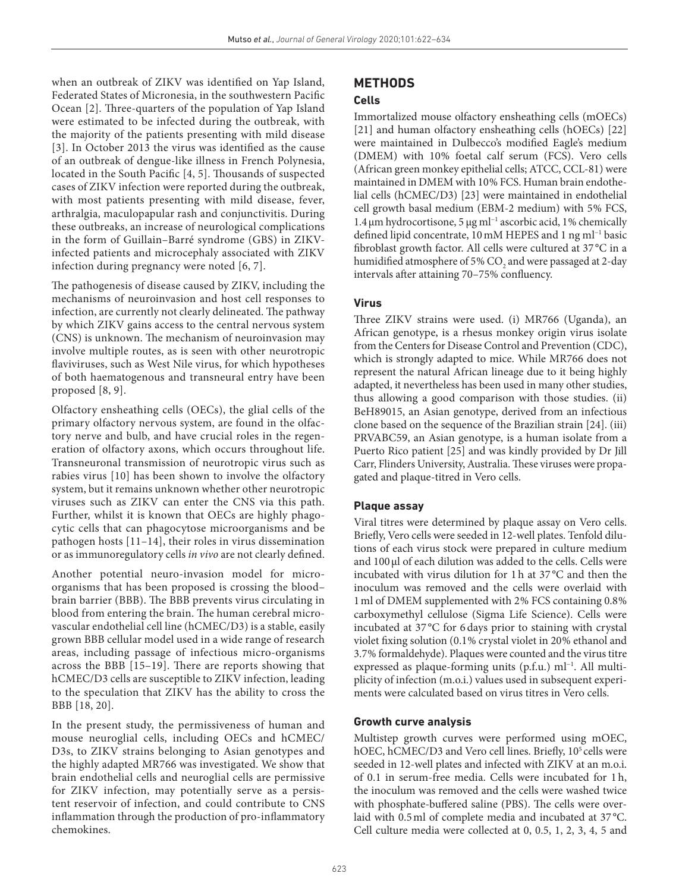when an outbreak of ZIKV was identified on Yap Island, Federated States of Micronesia, in the southwestern Pacific Ocean [2]. Three- quarters of the population of Yap Island were estimated to be infected during the outbreak, with the majority of the patients presenting with mild disease [3]. In October 2013 the virus was identified as the cause of an outbreak of dengue- like illness in French Polynesia, located in the South Pacific [4, 5]. Thousands of suspected cases of ZIKV infection were reported during the outbreak, with most patients presenting with mild disease, fever, arthralgia, maculopapular rash and conjunctivitis. During these outbreaks, an increase of neurological complications in the form of Guillain–Barré syndrome (GBS) in ZIKVinfected patients and microcephaly associated with ZIKV infection during pregnancy were noted [6, 7].

The pathogenesis of disease caused by ZIKV, including the mechanisms of neuroinvasion and host cell responses to infection, are currently not clearly delineated. The pathway by which ZIKV gains access to the central nervous system (CNS) is unknown. The mechanism of neuroinvasion may involve multiple routes, as is seen with other neurotropic flaviviruses, such as West Nile virus, for which hypotheses of both haematogenous and transneural entry have been proposed [8, 9].

Olfactory ensheathing cells (OECs), the glial cells of the primary olfactory nervous system, are found in the olfactory nerve and bulb, and have crucial roles in the regeneration of olfactory axons, which occurs throughout life. Transneuronal transmission of neurotropic virus such as rabies virus [10] has been shown to involve the olfactory system, but it remains unknown whether other neurotropic viruses such as ZIKV can enter the CNS via this path. Further, whilst it is known that OECs are highly phagocytic cells that can phagocytose microorganisms and be pathogen hosts [11–14], their roles in virus dissemination or as immunoregulatory cells in vivo are not clearly defined.

Another potential neuro-invasion model for microorganisms that has been proposed is crossing the blood– brain barrier (BBB). The BBB prevents virus circulating in blood from entering the brain. The human cerebral microvascular endothelial cell line (hCMEC/D3) is a stable, easily grown BBB cellular model used in a wide range of research areas, including passage of infectious micro- organisms across the BBB [15–19]. There are reports showing that hCMEC/D3 cells are susceptible to ZIKV infection, leading to the speculation that ZIKV has the ability to cross the BBB [18, 20].

In the present study, the permissiveness of human and mouse neuroglial cells, including OECs and hCMEC/ D3s, to ZIKV strains belonging to Asian genotypes and the highly adapted MR766 was investigated. We show that brain endothelial cells and neuroglial cells are permissive for ZIKV infection, may potentially serve as a persistent reservoir of infection, and could contribute to CNS inflammation through the production of pro- inflammatory chemokines.

# **METHodS**

### **Cells**

Immortalized mouse olfactory ensheathing cells (mOECs) [21] and human olfactory ensheathing cells (hOECs) [22] were maintained in Dulbecco's modified Eagle's medium (DMEM) with 10% foetal calf serum (FCS). Vero cells (African green monkey epithelial cells; ATCC, CCL-81) were maintained in DMEM with 10% FCS. Human brain endothelial cells (hCMEC/D3) [23] were maintained in endothelial cell growth basal medium (EBM-2 medium) with 5% FCS, 1.4 µm hydrocortisone, 5 μg ml−1 ascorbic acid, 1 % chemically defined lipid concentrate, 10 mM HEPES and 1 ng ml−1 basic fibroblast growth factor. All cells were cultured at 37 °C in a humidified atmosphere of 5%  $CO<sub>2</sub>$  and were passaged at 2-day intervals after attaining 70–75% confluency.

## **Virus**

Three ZIKV strains were used. (i) MR766 (Uganda), an African genotype, is a rhesus monkey origin virus isolate from the Centers for Disease Control and Prevention (CDC), which is strongly adapted to mice. While MR766 does not represent the natural African lineage due to it being highly adapted, it nevertheless has been used in many other studies, thus allowing a good comparison with those studies. (ii) BeH89015, an Asian genotype, derived from an infectious clone based on the sequence of the Brazilian strain [24]. (iii) PRVABC59, an Asian genotype, is a human isolate from a Puerto Rico patient [25] and was kindly provided by Dr Jill Carr, Flinders University, Australia. These viruses were propagated and plaque- titred in Vero cells.

## **Plaque assay**

Viral titres were determined by plaque assay on Vero cells. Briefly, Vero cells were seeded in 12- well plates. Tenfold dilutions of each virus stock were prepared in culture medium and 100 ul of each dilution was added to the cells. Cells were incubated with virus dilution for 1 h at 37 °C and then the inoculum was removed and the cells were overlaid with 1 ml of DMEM supplemented with 2 % FCS containing 0.8 % carboxymethyl cellulose (Sigma Life Science). Cells were incubated at 37 °C for 6 days prior to staining with crystal violet fixing solution (0.1% crystal violet in 20% ethanol and 3.7 % formaldehyde). Plaques were counted and the virus titre expressed as plaque-forming units (p.f.u.) ml<sup>-1</sup>. All multiplicity of infection (m.o.i.) values used in subsequent experiments were calculated based on virus titres in Vero cells.

#### **Growth curve analysis**

Multistep growth curves were performed using mOEC, hOEC, hCMEC/D3 and Vero cell lines. Briefly, 10<sup>5</sup> cells were seeded in 12- well plates and infected with ZIKV at an m.o.i. of 0.1 in serum- free media. Cells were incubated for 1 h, the inoculum was removed and the cells were washed twice with phosphate-buffered saline (PBS). The cells were overlaid with 0.5 ml of complete media and incubated at 37 °C. Cell culture media were collected at 0, 0.5, 1, 2, 3, 4, 5 and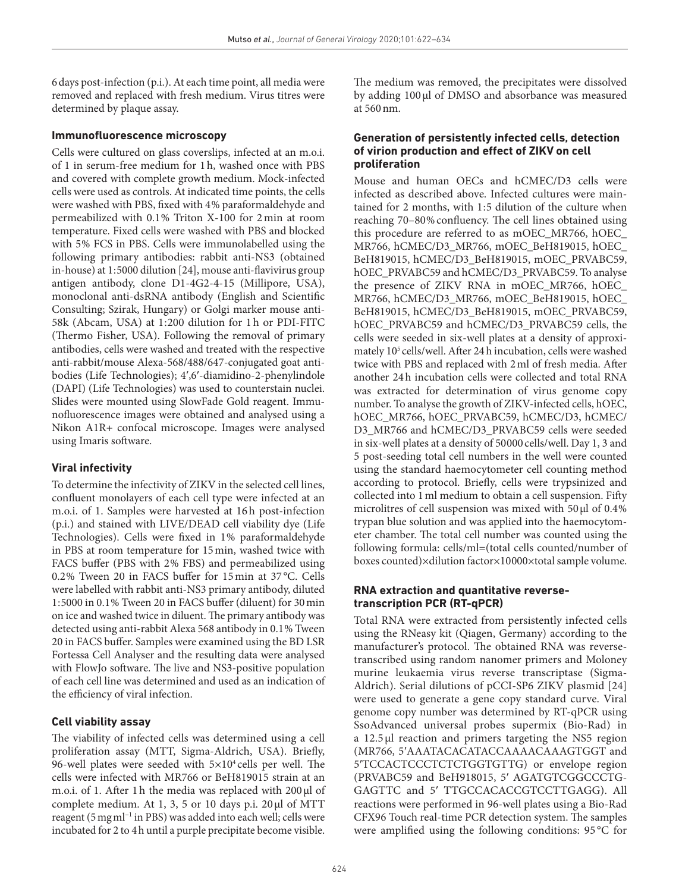6 days post- infection (p.i.). At each time point, all media were removed and replaced with fresh medium. Virus titres were determined by plaque assay.

#### **Immunofluorescence microscopy**

Cells were cultured on glass coverslips, infected at an m.o.i. of 1 in serum- free medium for 1 h, washed once with PBS and covered with complete growth medium. Mock-infected cells were used as controls. At indicated time points, the cells were washed with PBS, fixed with 4% paraformaldehyde and permeabilized with 0.1 % Triton X-100 for 2 min at room temperature. Fixed cells were washed with PBS and blocked with 5% FCS in PBS. Cells were immunolabelled using the following primary antibodies: rabbit anti-NS3 (obtained in- house) at 1 : 5000 dilution [24], mouse anti- flavivirus group antigen antibody, clone D1-4G2-4-15 (Millipore, USA), monoclonal anti-dsRNA antibody (English and Scientific Consulting; Szirak, Hungary) or Golgi marker mouse anti- 58k (Abcam, USA) at 1:200 dilution for 1h or PDI-FITC (Thermo Fisher, USA). Following the removal of primary antibodies, cells were washed and treated with the respective anti-rabbit/mouse Alexa-568/488/647-conjugated goat antibodies (Life Technologies); 4′,6′-diamidino-2- phenylindole (DAPI) (Life Technologies) was used to counterstain nuclei. Slides were mounted using SlowFade Gold reagent. Immunofluorescence images were obtained and analysed using a Nikon A1R+ confocal microscope. Images were analysed using Imaris software.

## **Viral infectivity**

To determine the infectivity of ZIKV in the selected cell lines, confluent monolayers of each cell type were infected at an m.o.i. of 1. Samples were harvested at 16h post-infection (p.i.) and stained with LIVE/DEAD cell viability dye (Life Technologies). Cells were fixed in 1% paraformaldehyde in PBS at room temperature for 15 min, washed twice with FACS buffer (PBS with 2% FBS) and permeabilized using 0.2 % Tween 20 in FACS buffer for 15 min at 37 °C. Cells were labelled with rabbit anti- NS3 primary antibody, diluted 1 : 5000 in 0.1 % Tween 20 in FACS buffer (diluent) for 30 min on ice and washed twice in diluent. The primary antibody was detected using anti-rabbit Alexa 568 antibody in 0.1% Tween 20 in FACS buffer. Samples were examined using the BD LSR Fortessa Cell Analyser and the resulting data were analysed with FlowJo software. The live and NS3- positive population of each cell line was determined and used as an indication of the efficiency of viral infection.

#### **Cell viability assay**

The viability of infected cells was determined using a cell proliferation assay (MTT, Sigma- Aldrich, USA). Briefly, 96- well plates were seeded with 5×10<sup>4</sup> cells per well. The cells were infected with MR766 or BeH819015 strain at an m.o.i. of 1. After 1 h the media was replaced with 200 µl of complete medium. At 1, 3, 5 or 10 days p.i. 20 µl of MTT reagent (5 mg ml−1 in PBS) was added into each well; cells were incubated for 2 to 4 h until a purple precipitate become visible.

The medium was removed, the precipitates were dissolved by adding 100 µl of DMSO and absorbance was measured at 560 nm.

#### **Generation of persistently infected cells, detection of virion production and effect of ZIKV on cell proliferation**

Mouse and human OECs and hCMEC/D3 cells were infected as described above. Infected cultures were maintained for 2 months, with 1:5 dilution of the culture when reaching 70–80 % confluency. The cell lines obtained using this procedure are referred to as mOEC\_MR766, hOEC\_ MR766, hCMEC/D3\_MR766, mOEC\_BeH819015, hOEC\_ BeH819015, hCMEC/D3\_BeH819015, mOEC\_PRVABC59, hOEC\_PRVABC59 and hCMEC/D3\_PRVABC59. To analyse the presence of ZIKV RNA in mOEC\_MR766, hOEC\_ MR766, hCMEC/D3\_MR766, mOEC\_BeH819015, hOEC\_ BeH819015, hCMEC/D3\_BeH819015, mOEC\_PRVABC59, hOEC\_PRVABC59 and hCMEC/D3\_PRVABC59 cells, the cells were seeded in six- well plates at a density of approximately 10<sup>5</sup> cells/well. After 24 h incubation, cells were washed twice with PBS and replaced with 2 ml of fresh media. After another 24 h incubation cells were collected and total RNA was extracted for determination of virus genome copy number. To analyse the growth of ZIKV- infected cells, hOEC, hOEC\_MR766, hOEC\_PRVABC59, hCMEC/D3, hCMEC/ D3\_MR766 and hCMEC/D3\_PRVABC59 cells were seeded in six- well plates at a density of 50 000 cells/well. Day 1, 3 and 5 post- seeding total cell numbers in the well were counted using the standard haemocytometer cell counting method according to protocol. Briefly, cells were trypsinized and collected into 1 ml medium to obtain a cell suspension. Fifty microlitres of cell suspension was mixed with 50 µl of 0.4% trypan blue solution and was applied into the haemocytometer chamber. The total cell number was counted using the following formula: cells/ml=(total cells counted/number of boxes counted)×dilution factor×10 000×total sample volume.

#### **RnA extraction and quantitative reversetranscription PCR (RT-qPCR)**

Total RNA were extracted from persistently infected cells using the RNeasy kit (Qiagen, Germany) according to the manufacturer's protocol. The obtained RNA was reversetranscribed using random nanomer primers and Moloney murine leukaemia virus reverse transcriptase (Sigma-Aldrich). Serial dilutions of pCCI-SP6 ZIKV plasmid [24] were used to generate a gene copy standard curve. Viral genome copy number was determined by RT- qPCR using SsoAdvanced universal probes supermix (Bio-Rad) in a 12.5 µl reaction and primers targeting the NS5 region (MR766, 5'AAATACACATACCAAAACAAAGTGGT and 5'TCCACTCCCTCTCTGGTGTTG) or envelope region (PRVABC59 and BeH918015, 5′ AGATGTCGGCCCTG-GAGTTC and 5′ TTGCCACACCGTCCTTGAGG). All reactions were performed in 96- well plates using a Bio- Rad CFX96 Touch real- time PCR detection system. The samples were amplified using the following conditions: 95 °C for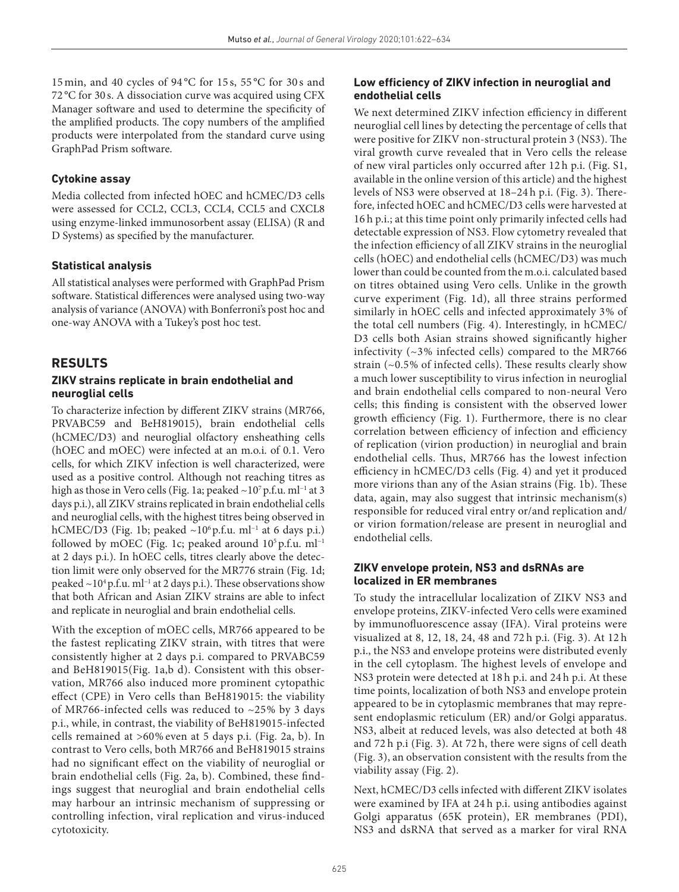15 min, and 40 cycles of 94 °C for 15 s, 55 °C for 30 s and 72 °C for 30 s. A dissociation curve was acquired using CFX Manager software and used to determine the specificity of the amplified products. The copy numbers of the amplified products were interpolated from the standard curve using GraphPad Prism software.

### **Cytokine assay**

Media collected from infected hOEC and hCMEC/D3 cells were assessed for CCL2, CCL3, CCL4, CCL5 and CXCL8 using enzyme-linked immunosorbent assay (ELISA) (R and D Systems) as specified by the manufacturer.

#### **Statistical analysis**

All statistical analyses were performed with GraphPad Prism software. Statistical differences were analysed using two-way analysis of variance (ANOVA) with Bonferroni's post hoc and one- way ANOVA with a Tukey's post hoc test.

# **RESuLTS**

#### **ZIKV strains replicate in brain endothelial and neuroglial cells**

To characterize infection by different ZIKV strains (MR766, PRVABC59 and BeH819015), brain endothelial cells (hCMEC/D3) and neuroglial olfactory ensheathing cells (hOEC and mOEC) were infected at an m.o.i. of 0.1. Vero cells, for which ZIKV infection is well characterized, were used as a positive control. Although not reaching titres as high as those in Vero cells (Fig. 1a; peaked ~10<sup>7</sup> p.f.u. ml<sup>−1</sup> at 3 days p.i.), all ZIKV strains replicated in brain endothelial cells and neuroglial cells, with the highest titres being observed in hCMEC/D3 (Fig. 1b; peaked ~10<sup>6</sup> p.f.u. ml<sup>-1</sup> at 6 days p.i.) followed by mOEC (Fig. 1c; peaked around  $10^5$  p.f.u. ml<sup>-1</sup> at 2 days p.i.). In hOEC cells, titres clearly above the detection limit were only observed for the MR776 strain (Fig. 1d; peaked ~10<sup>4</sup> p.f.u. ml<sup>-1</sup> at 2 days p.i.). These observations show that both African and Asian ZIKV strains are able to infect and replicate in neuroglial and brain endothelial cells.

With the exception of mOEC cells, MR766 appeared to be the fastest replicating ZIKV strain, with titres that were consistently higher at 2 days p.i. compared to PRVABC59 and BeH819015(Fig. 1a,b d). Consistent with this observation, MR766 also induced more prominent cytopathic effect (CPE) in Vero cells than BeH819015: the viability of MR766-infected cells was reduced to  $\sim$ 25% by 3 days p.i., while, in contrast, the viability of BeH819015- infected cells remained at >60 % even at 5 days p.i. (Fig. 2a, b). In contrast to Vero cells, both MR766 and BeH819015 strains had no significant effect on the viability of neuroglial or brain endothelial cells (Fig. 2a, b). Combined, these findings suggest that neuroglial and brain endothelial cells may harbour an intrinsic mechanism of suppressing or controlling infection, viral replication and virus- induced cytotoxicity.

## **Low efficiency of ZIKV infection in neuroglial and endothelial cells**

We next determined ZIKV infection efficiency in different neuroglial cell lines by detecting the percentage of cells that were positive for ZIKV non-structural protein 3 (NS3). The viral growth curve revealed that in Vero cells the release of new viral particles only occurred after 12 h p.i. (Fig. S1, available in the online version of this article) and the highest levels of NS3 were observed at 18–24 h p.i. (Fig. 3). Therefore, infected hOEC and hCMEC/D3 cells were harvested at 16 h p.i.; at this time point only primarily infected cells had detectable expression of NS3. Flow cytometry revealed that the infection efficiency of all ZIKV strains in the neuroglial cells (hOEC) and endothelial cells (hCMEC/D3) was much lower than could be counted from the m.o.i. calculated based on titres obtained using Vero cells. Unlike in the growth curve experiment (Fig. 1d), all three strains performed similarly in hOEC cells and infected approximately 3 % of the total cell numbers (Fig. 4). Interestingly, in hCMEC/ D3 cells both Asian strains showed significantly higher infectivity (~3 % infected cells) compared to the MR766 strain (~0.5 % of infected cells). These results clearly show a much lower susceptibility to virus infection in neuroglial and brain endothelial cells compared to non- neural Vero cells; this finding is consistent with the observed lower growth efficiency (Fig. 1). Furthermore, there is no clear correlation between efficiency of infection and efficiency of replication (virion production) in neuroglial and brain endothelial cells. Thus, MR766 has the lowest infection efficiency in hCMEC/D3 cells (Fig. 4) and yet it produced more virions than any of the Asian strains (Fig. 1b). These data, again, may also suggest that intrinsic mechanism(s) responsible for reduced viral entry or/and replication and/ or virion formation/release are present in neuroglial and endothelial cells.

#### **ZIKV envelope protein, nS3 and dsRnAs are localized in ER membranes**

To study the intracellular localization of ZIKV NS3 and envelope proteins, ZIKV-infected Vero cells were examined by immunofluorescence assay (IFA). Viral proteins were visualized at 8, 12, 18, 24, 48 and 72 h p.i. (Fig. 3). At 12 h p.i., the NS3 and envelope proteins were distributed evenly in the cell cytoplasm. The highest levels of envelope and NS3 protein were detected at 18 h p.i. and 24 h p.i. At these time points, localization of both NS3 and envelope protein appeared to be in cytoplasmic membranes that may represent endoplasmic reticulum (ER) and/or Golgi apparatus. NS3, albeit at reduced levels, was also detected at both 48 and 72 h p.i (Fig. 3). At 72 h, there were signs of cell death (Fig. 3), an observation consistent with the results from the viability assay (Fig. 2).

Next, hCMEC/D3 cells infected with different ZIKV isolates were examined by IFA at 24 h p.i. using antibodies against Golgi apparatus (65K protein), ER membranes (PDI), NS3 and dsRNA that served as a marker for viral RNA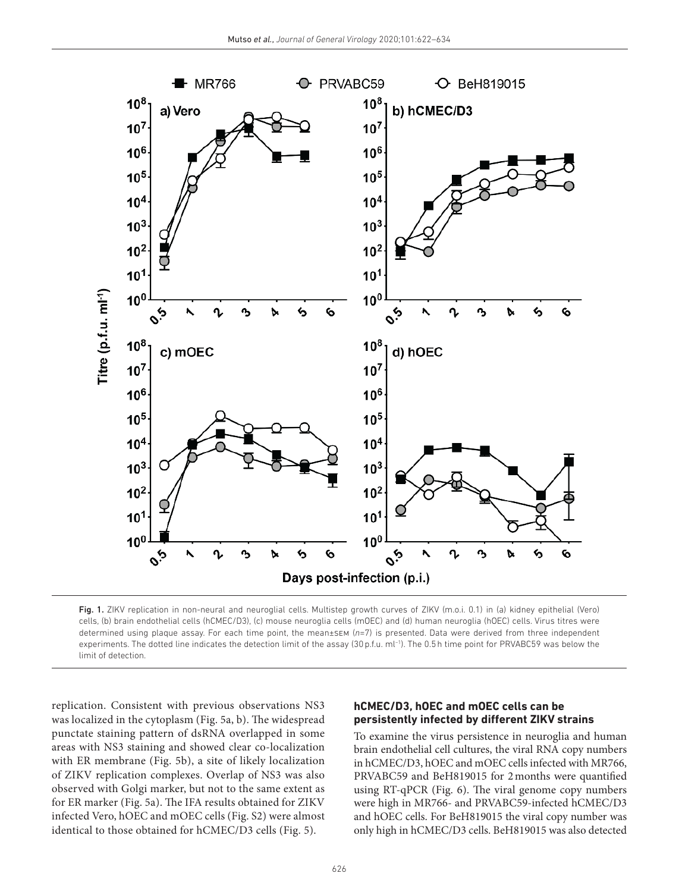

Fig. 1. ZIKV replication in non-neural and neuroglial cells. Multistep growth curves of ZIKV (m.o.i. 0.1) in (a) kidney epithelial (Vero) cells, (b) brain endothelial cells (hCMEC/D3), (c) mouse neuroglia cells (mOEC) and (d) human neuroglia (hOEC) cells. Virus titres were determined using plaque assay. For each time point, the mean±sem (*n*=7) is presented. Data were derived from three independent experiments. The dotted line indicates the detection limit of the assay (30 p.f.u. ml<sup>-1</sup>). The 0.5 h time point for PRVABC59 was below the limit of detection.

replication. Consistent with previous observations NS3 was localized in the cytoplasm (Fig. 5a, b). The widespread punctate staining pattern of dsRNA overlapped in some areas with NS3 staining and showed clear co- localization with ER membrane (Fig. 5b), a site of likely localization of ZIKV replication complexes. Overlap of NS3 was also observed with Golgi marker, but not to the same extent as for ER marker (Fig. 5a). The IFA results obtained for ZIKV infected Vero, hOEC and mOEC cells (Fig. S2) were almost identical to those obtained for hCMEC/D3 cells (Fig. 5).

#### **hCMEC/d3, hoEC and moEC cells can be persistently infected by different ZIKV strains**

To examine the virus persistence in neuroglia and human brain endothelial cell cultures, the viral RNA copy numbers in hCMEC/D3, hOEC and mOEC cells infected with MR766, PRVABC59 and BeH819015 for 2 months were quantified using RT- qPCR (Fig. 6). The viral genome copy numbers were high in MR766- and PRVABC59-infected hCMEC/D3 and hOEC cells. For BeH819015 the viral copy number was only high in hCMEC/D3 cells. BeH819015 was also detected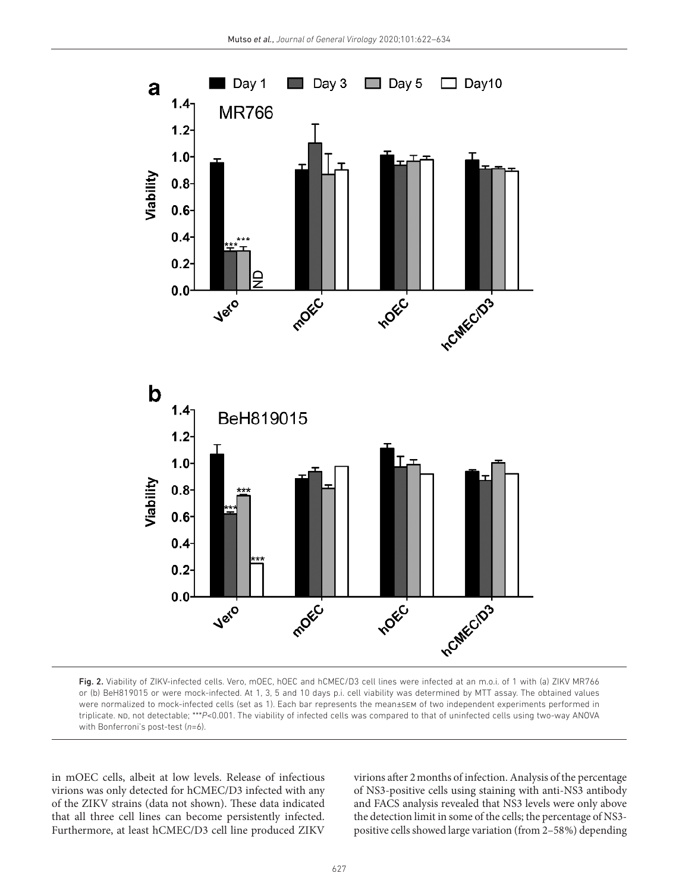

Fig. 2. Viability of ZIKV-infected cells. Vero, mOEC, hOEC and hCMEC/D3 cell lines were infected at an m.o.i. of 1 with (a) ZIKV MR766 or (b) BeH819015 or were mock-infected. At 1, 3, 5 and 10 days p.i. cell viability was determined by MTT assay. The obtained values were normalized to mock- infected cells (set as 1). Each bar represents the mean±sem of two independent experiments performed in triplicate. ND, not detectable; \*\*\*P<0.001. The viability of infected cells was compared to that of uninfected cells using two-way ANOVA with Bonferroni's post-test (n=6).

in mOEC cells, albeit at low levels. Release of infectious virions was only detected for hCMEC/D3 infected with any of the ZIKV strains (data not shown). These data indicated that all three cell lines can become persistently infected. Furthermore, at least hCMEC/D3 cell line produced ZIKV virions after 2 months of infection. Analysis of the percentage of NS3- positive cells using staining with anti- NS3 antibody and FACS analysis revealed that NS3 levels were only above the detection limit in some of the cells; the percentage of NS3 positive cells showed large variation (from 2–58 %) depending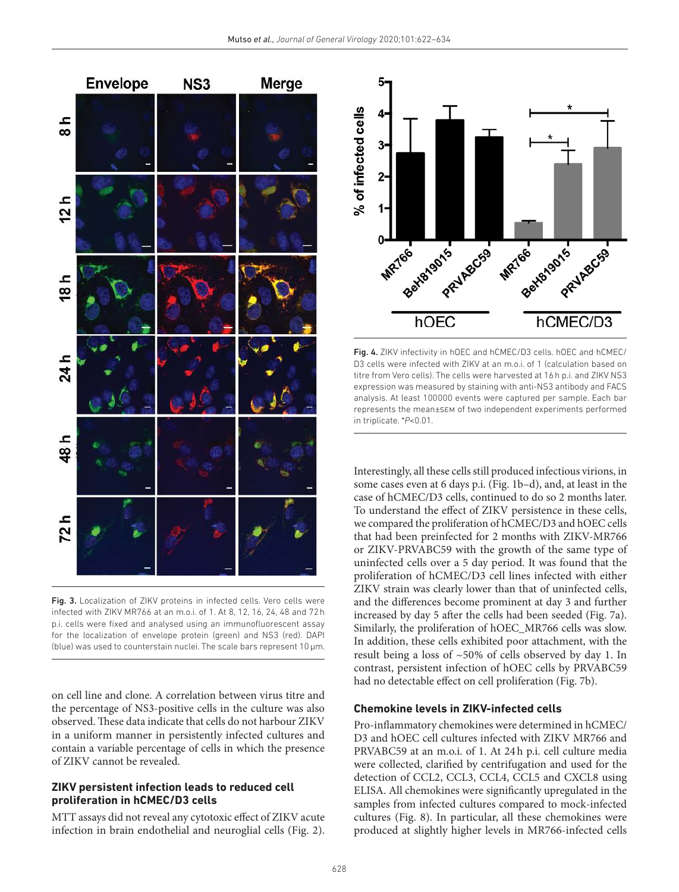

Fig. 3. Localization of ZIKV proteins in infected cells. Vero cells were infected with ZIKV MR766 at an m.o.i. of 1. At 8, 12, 16, 24, 48 and 72 h p.i. cells were fixed and analysed using an immunofluorescent assay for the localization of envelope protein (green) and NS3 (red). DAPI (blue) was used to counterstain nuclei. The scale bars represent 10 µm.

on cell line and clone. A correlation between virus titre and the percentage of NS3- positive cells in the culture was also observed. These data indicate that cells do not harbour ZIKV in a uniform manner in persistently infected cultures and contain a variable percentage of cells in which the presence of ZIKV cannot be revealed.

#### **ZIKV persistent infection leads to reduced cell proliferation in hCMEC/D3 cells**

MTT assays did not reveal any cytotoxic effect of ZIKV acute infection in brain endothelial and neuroglial cells (Fig. 2).



Fig. 4. ZIKV infectivity in hOEC and hCMEC/D3 cells. hOEC and hCMEC/ D3 cells were infected with ZIKV at an m.o.i. of 1 (calculation based on titre from Vero cells). The cells were harvested at 16 h p.i. and ZIKV NS3 expression was measured by staining with anti-NS3 antibody and FACS analysis. At least 100 000 events were captured per sample. Each bar represents the mean±sem of two independent experiments performed in triplicate. \**P*<0.01.

Interestingly, all these cells still produced infectious virions, in some cases even at 6 days p.i. (Fig. 1b–d), and, at least in the case of hCMEC/D3 cells, continued to do so 2 months later. To understand the effect of ZIKV persistence in these cells, we compared the proliferation of hCMEC/D3 and hOEC cells that had been preinfected for 2 months with ZIKV-MR766 or ZIKV- PRVABC59 with the growth of the same type of uninfected cells over a 5 day period. It was found that the proliferation of hCMEC/D3 cell lines infected with either ZIKV strain was clearly lower than that of uninfected cells, and the differences become prominent at day 3 and further increased by day 5 after the cells had been seeded (Fig. 7a). Similarly, the proliferation of hOEC\_MR766 cells was slow. In addition, these cells exhibited poor attachment, with the result being a loss of  $~50\%$  of cells observed by day 1. In contrast, persistent infection of hOEC cells by PRVABC59 had no detectable effect on cell proliferation (Fig. 7b).

#### **Chemokine levels in ZIKV-infected cells**

Pro- inflammatory chemokines were determined in hCMEC/ D3 and hOEC cell cultures infected with ZIKV MR766 and PRVABC59 at an m.o.i. of 1. At 24h p.i. cell culture media were collected, clarified by centrifugation and used for the detection of CCL2, CCL3, CCL4, CCL5 and CXCL8 using ELISA. All chemokines were significantly upregulated in the samples from infected cultures compared to mock-infected cultures (Fig. 8). In particular, all these chemokines were produced at slightly higher levels in MR766-infected cells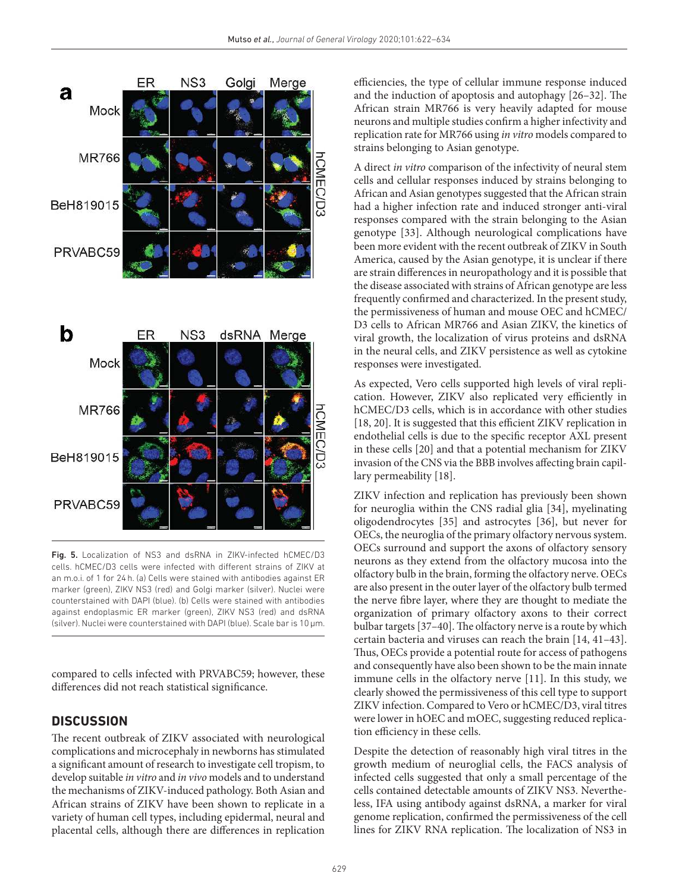



Fig. 5. Localization of NS3 and dsRNA in ZIKV-infected hCMEC/D3 cells. hCMEC/D3 cells were infected with different strains of ZIKV at an m.o.i. of 1 for 24 h. (a) Cells were stained with antibodies against ER marker (green), ZIKV NS3 (red) and Golgi marker (silver). Nuclei were counterstained with DAPI (blue). (b) Cells were stained with antibodies against endoplasmic ER marker (green), ZIKV NS3 (red) and dsRNA (silver). Nuclei were counterstained with DAPI (blue). Scale bar is 10 µm.

compared to cells infected with PRVABC59; however, these differences did not reach statistical significance.

# **dISCuSSIon**

The recent outbreak of ZIKV associated with neurological complications and microcephaly in newborns has stimulated a significant amount of research to investigate cell tropism, to develop suitable in vitro and in vivo models and to understand the mechanisms of ZIKV- induced pathology. Both Asian and African strains of ZIKV have been shown to replicate in a variety of human cell types, including epidermal, neural and placental cells, although there are differences in replication efficiencies, the type of cellular immune response induced and the induction of apoptosis and autophagy [26–32]. The African strain MR766 is very heavily adapted for mouse neurons and multiple studies confirm a higher infectivity and replication rate for MR766 using in vitro models compared to strains belonging to Asian genotype.

A direct in vitro comparison of the infectivity of neural stem cells and cellular responses induced by strains belonging to African and Asian genotypes suggested that the African strain had a higher infection rate and induced stronger anti-viral responses compared with the strain belonging to the Asian genotype [33]. Although neurological complications have been more evident with the recent outbreak of ZIKV in South America, caused by the Asian genotype, it is unclear if there are strain differences in neuropathology and it is possible that the disease associated with strains of African genotype are less frequently confirmed and characterized. In the present study, the permissiveness of human and mouse OEC and hCMEC/ D3 cells to African MR766 and Asian ZIKV, the kinetics of viral growth, the localization of virus proteins and dsRNA in the neural cells, and ZIKV persistence as well as cytokine responses were investigated.

As expected, Vero cells supported high levels of viral replication. However, ZIKV also replicated very efficiently in hCMEC/D3 cells, which is in accordance with other studies [18, 20]. It is suggested that this efficient ZIKV replication in endothelial cells is due to the specific receptor AXL present in these cells [20] and that a potential mechanism for ZIKV invasion of the CNS via the BBB involves affecting brain capillary permeability [18].

ZIKV infection and replication has previously been shown for neuroglia within the CNS radial glia [34], myelinating oligodendrocytes [35] and astrocytes [36], but never for OECs, the neuroglia of the primary olfactory nervous system. OECs surround and support the axons of olfactory sensory neurons as they extend from the olfactory mucosa into the olfactory bulb in the brain, forming the olfactory nerve. OECs are also present in the outer layer of the olfactory bulb termed the nerve fibre layer, where they are thought to mediate the organization of primary olfactory axons to their correct bulbar targets [37–40]. The olfactory nerve is a route by which certain bacteria and viruses can reach the brain [14, 41–43]. Thus, OECs provide a potential route for access of pathogens and consequently have also been shown to be the main innate immune cells in the olfactory nerve [11]. In this study, we clearly showed the permissiveness of this cell type to support ZIKV infection. Compared to Vero or hCMEC/D3, viral titres were lower in hOEC and mOEC, suggesting reduced replication efficiency in these cells.

Despite the detection of reasonably high viral titres in the growth medium of neuroglial cells, the FACS analysis of infected cells suggested that only a small percentage of the cells contained detectable amounts of ZIKV NS3. Nevertheless, IFA using antibody against dsRNA, a marker for viral genome replication, confirmed the permissiveness of the cell lines for ZIKV RNA replication. The localization of NS3 in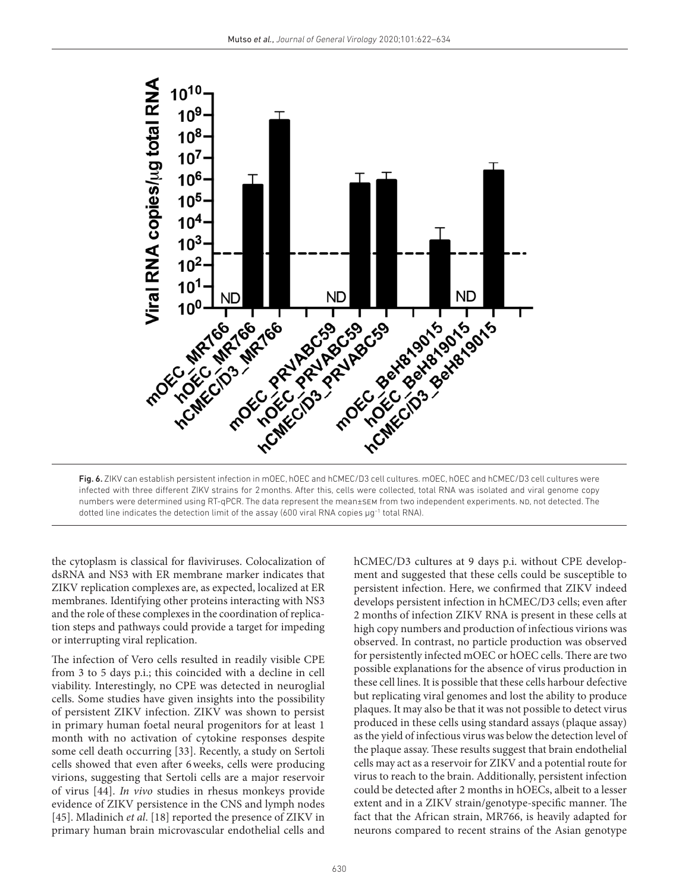

Fig. 6. ZIKV can establish persistent infection in mOEC, hOEC and hCMEC/D3 cell cultures. mOEC, hOEC and hCMEC/D3 cell cultures were infected with three different ZIKV strains for 2 months. After this, cells were collected, total RNA was isolated and viral genome copy numbers were determined using RT-qPCR. The data represent the mean±sem from two independent experiments. ND, not detected. The dotted line indicates the detection limit of the assay (600 viral RNA copies µg−1 total RNA).

the cytoplasm is classical for flaviviruses. Colocalization of dsRNA and NS3 with ER membrane marker indicates that ZIKV replication complexes are, as expected, localized at ER membranes. Identifying other proteins interacting with NS3 and the role of these complexes in the coordination of replication steps and pathways could provide a target for impeding or interrupting viral replication.

The infection of Vero cells resulted in readily visible CPE from 3 to 5 days p.i.; this coincided with a decline in cell viability. Interestingly, no CPE was detected in neuroglial cells. Some studies have given insights into the possibility of persistent ZIKV infection. ZIKV was shown to persist in primary human foetal neural progenitors for at least 1 month with no activation of cytokine responses despite some cell death occurring [33]. Recently, a study on Sertoli cells showed that even after 6 weeks, cells were producing virions, suggesting that Sertoli cells are a major reservoir of virus [44]. In vivo studies in rhesus monkeys provide evidence of ZIKV persistence in the CNS and lymph nodes [45]. Mladinich et al. [18] reported the presence of ZIKV in primary human brain microvascular endothelial cells and

hCMEC/D3 cultures at 9 days p.i. without CPE development and suggested that these cells could be susceptible to persistent infection. Here, we confirmed that ZIKV indeed develops persistent infection in hCMEC/D3 cells; even after 2 months of infection ZIKV RNA is present in these cells at high copy numbers and production of infectious virions was observed. In contrast, no particle production was observed for persistently infected mOEC or hOEC cells. There are two possible explanations for the absence of virus production in these cell lines. It is possible that these cells harbour defective but replicating viral genomes and lost the ability to produce plaques. It may also be that it was not possible to detect virus produced in these cells using standard assays (plaque assay) as the yield of infectious virus was below the detection level of the plaque assay. These results suggest that brain endothelial cells may act as a reservoir for ZIKV and a potential route for virus to reach to the brain. Additionally, persistent infection could be detected after 2 months in hOECs, albeit to a lesser extent and in a ZIKV strain/genotype- specific manner. The fact that the African strain, MR766, is heavily adapted for neurons compared to recent strains of the Asian genotype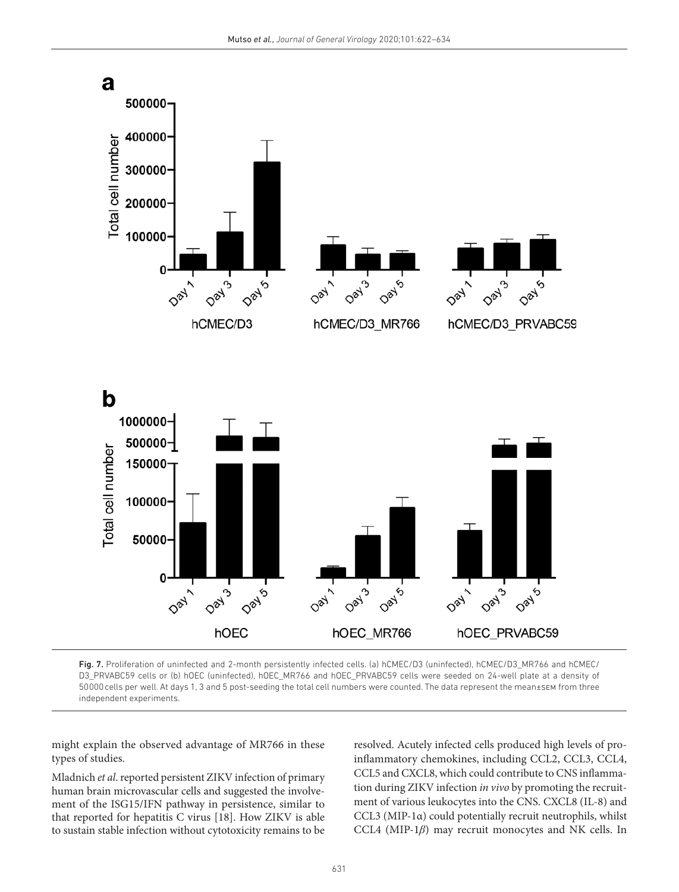

Fig. 7. Proliferation of uninfected and 2-month persistently infected cells. (a) hCMEC/D3 (uninfected), hCMEC/D3\_MR766 and hCMEC/ D3\_PRVABC59 cells or (b) hOEC (uninfected), hOEC\_MR766 and hOEC\_PRVABC59 cells were seeded on 24-well plate at a density of 50 000 cells per well. At days 1, 3 and 5 post- seeding the total cell numbers were counted. The data represent the mean±sem from three independent experiments.

might explain the observed advantage of MR766 in these types of studies.

Mladnich et al. reported persistent ZIKV infection of primary human brain microvascular cells and suggested the involvement of the ISG15/IFN pathway in persistence, similar to that reported for hepatitis C virus [18]. How ZIKV is able to sustain stable infection without cytotoxicity remains to be resolved. Acutely infected cells produced high levels of proinflammatory chemokines, including CCL2, CCL3, CCL4, CCL5 and CXCL8, which could contribute to CNS inflammation during ZIKV infection in vivo by promoting the recruitment of various leukocytes into the CNS. CXCL8 (IL-8) and CCL3 (MIP-1α) could potentially recruit neutrophils, whilst CCL4 (MIP-1*β*) may recruit monocytes and NK cells. In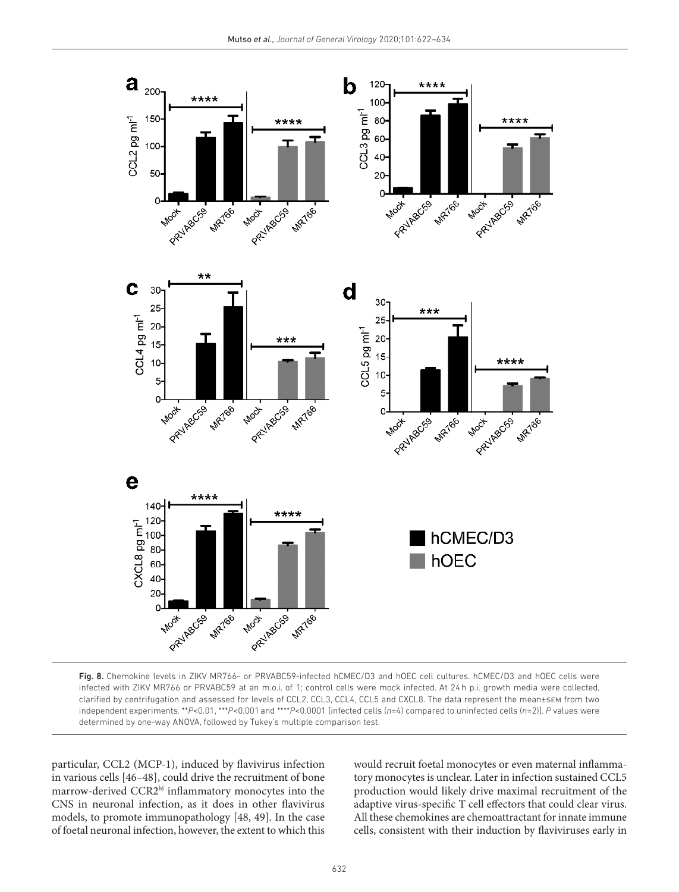

Fig. 8. Chemokine levels in ZIKV MR766- or PRVABC59-infected hCMEC/D3 and hOEC cell cultures. hCMEC/D3 and hOEC cells were infected with ZIKV MR766 or PRVABC59 at an m.o.i. of 1; control cells were mock infected. At 24 h p.i. growth media were collected, clarified by centrifugation and assessed for levels of CCL2, CCL3, CCL4, CCL5 and CXCL8. The data represent the mean±sem from two independent experiments. \*\**P*<0.01, \*\*\**P*<0.001 and \*\*\*\**P*<0.0001 [infected cells (*n*=4) compared to uninfected cells (*n*=2)]. *P* values were determined by one-way ANOVA, followed by Tukey's multiple comparison test.

particular, CCL2 (MCP-1), induced by flavivirus infection in various cells [46–48], could drive the recruitment of bone marrow-derived CCR2hi inflammatory monocytes into the CNS in neuronal infection, as it does in other flavivirus models, to promote immunopathology [48, 49]. In the case of foetal neuronal infection, however, the extent to which this would recruit foetal monocytes or even maternal inflammatory monocytes is unclear. Later in infection sustained CCL5 production would likely drive maximal recruitment of the adaptive virus- specific T cell effectors that could clear virus. All these chemokines are chemoattractant for innate immune cells, consistent with their induction by flaviviruses early in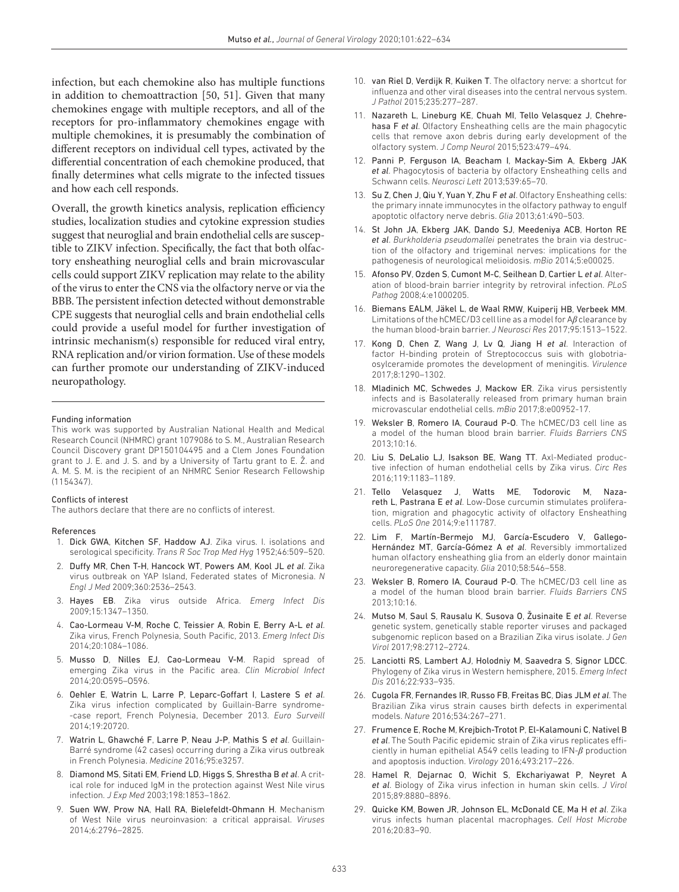infection, but each chemokine also has multiple functions in addition to chemoattraction [50, 51]. Given that many chemokines engage with multiple receptors, and all of the receptors for pro-inflammatory chemokines engage with multiple chemokines, it is presumably the combination of different receptors on individual cell types, activated by the differential concentration of each chemokine produced, that finally determines what cells migrate to the infected tissues and how each cell responds.

Overall, the growth kinetics analysis, replication efficiency studies, localization studies and cytokine expression studies suggest that neuroglial and brain endothelial cells are susceptible to ZIKV infection. Specifically, the fact that both olfactory ensheathing neuroglial cells and brain microvascular cells could support ZIKV replication may relate to the ability of the virus to enter the CNS via the olfactory nerve or via the BBB. The persistent infection detected without demonstrable CPE suggests that neuroglial cells and brain endothelial cells could provide a useful model for further investigation of intrinsic mechanism(s) responsible for reduced viral entry, RNA replication and/or virion formation. Use of these models can further promote our understanding of ZIKV- induced neuropathology.

#### Funding information

This work was supported by Australian National Health and Medical Research Council (NHMRC) grant 1079086 to S. M., Australian Research Council Discovery grant DP150104495 and a Clem Jones Foundation grant to J. E. and J. S. and by a University of Tartu grant to E. Ž. and A. M. S. M. is the recipient of an NHMRC Senior Research Fellowship (1154347).

#### Conflicts of interest

The authors declare that there are no conflicts of interest.

#### References

- 1. Dick GWA, Kitchen SF, Haddow AJ. Zika virus. I. isolations and serological specificity. *Trans R Soc Trop Med Hyg* 1952;46:509–520.
- 2. Duffy MR, Chen T-H, Hancock WT, Powers AM, Kool JL et al. Zika virus outbreak on YAP Island, Federated states of Micronesia. *N Engl J Med* 2009;360:2536–2543.
- 3. Hayes EB. Zika virus outside Africa. *Emerg Infect Dis* 2009;15:1347–1350.
- 4. Cao-Lormeau V-M, Roche C, Teissier A, Robin E, Berry A-L et al. Zika virus, French Polynesia, South Pacific, 2013. *Emerg Infect Dis* 2014;20:1084–1086.
- 5. Musso D, Nilles EJ, Cao-Lormeau V-M. Rapid spread of emerging Zika virus in the Pacific area. *Clin Microbiol Infect* 2014;20:O595–O596.
- 6. Oehler E, Watrin L, Larre P, Leparc- Goffart I, Lastere S *et al*. Zika virus infection complicated by Guillain-Barre syndrome--case report, French Polynesia, December 2013. *Euro Surveill* 2014;19:20720.
- 7. Watrin L, Ghawché F, Larre P, Neau J-P, Mathis S et al. Guillain-Barré syndrome (42 cases) occurring during a Zika virus outbreak in French Polynesia. *Medicine* 2016;95:e3257.
- 8. Diamond MS, Sitati EM, Friend LD, Higgs S, Shrestha B *et al*. A critical role for induced IgM in the protection against West Nile virus infection. *J Exp Med* 2003;198:1853–1862.
- 9. Suen WW, Prow NA, Hall RA, Bielefeldt- Ohmann H. Mechanism of West Nile virus neuroinvasion: a critical appraisal. *Viruses* 2014;6:2796–2825.
- 10. van Riel D, Verdijk R, Kuiken T. The olfactory nerve: a shortcut for influenza and other viral diseases into the central nervous system. *J Pathol* 2015;235:277–287.
- 11. Nazareth L, Lineburg KE, Chuah MI, Tello Velasquez J, Chehrehasa F *et al*. Olfactory Ensheathing cells are the main phagocytic cells that remove axon debris during early development of the olfactory system. *J Comp Neurol* 2015;523:479–494.
- 12. Panni P, Ferguson IA, Beacham I, Mackay-Sim A, Ekberg JAK *et al*. Phagocytosis of bacteria by olfactory Ensheathing cells and Schwann cells. *Neurosci Lett* 2013;539:65–70.
- 13. Su Z, Chen J, Qiu Y, Yuan Y, Zhu F *et al*. Olfactory Ensheathing cells: the primary innate immunocytes in the olfactory pathway to engulf apoptotic olfactory nerve debris. *Glia* 2013;61:490–503.
- 14. St John JA, Ekberg JAK, Dando SJ, Meedeniya ACB, Horton RE *et al*. *Burkholderia pseudomallei* penetrates the brain via destruction of the olfactory and trigeminal nerves: implications for the pathogenesis of neurological melioidosis. *mBio* 2014;5:e00025.
- 15. Afonso PV, Ozden S, Cumont M-C, Seilhean D, Cartier L et al. Alteration of blood- brain barrier integrity by retroviral infection. *PLoS Pathog* 2008;4:e1000205.
- 16. Biemans EALM, Jäkel L, de Waal RMW, Kuiperij HB, Verbeek MM. Limitations of the hCMEC/D3 cell line as a model for A*β* clearance by the human blood- brain barrier. *J Neurosci Res* 2017;95:1513–1522.
- 17. Kong D, Chen Z, Wang J, Lv Q, Jiang H *et al*. Interaction of factor H-binding protein of Streptococcus suis with globotriaosylceramide promotes the development of meningitis. *Virulence* 2017;8:1290–1302.
- 18. Mladinich MC, Schwedes J, Mackow ER. Zika virus persistently infects and is Basolaterally released from primary human brain microvascular endothelial cells. *mBio* 2017;8:e00952-17.
- 19. Weksler B, Romero IA, Couraud P-O. The hCMEC/D3 cell line as a model of the human blood brain barrier. *Fluids Barriers CNS* 2013;10:16.
- 20. Liu S, DeLalio LJ, Isakson BE, Wang TT. Axl-Mediated productive infection of human endothelial cells by Zika virus. *Circ Res* 2016;119:1183–1189.
- 21. Tello Velasquez J, Watts ME, Todorovic M, Nazareth L, Pastrana E et al. Low-Dose curcumin stimulates proliferation, migration and phagocytic activity of olfactory Ensheathing cells. *PLoS One* 2014;9:e111787.
- 22. Lim F, Martín-Bermejo MJ, García-Escudero V, Gallego-Hernández MT, García- Gómez A *et al*. Reversibly immortalized human olfactory ensheathing glia from an elderly donor maintain neuroregenerative capacity. *Glia* 2010;58:546–558.
- 23. Weksler B, Romero IA, Couraud P-O. The hCMEC/D3 cell line as a model of the human blood brain barrier. *Fluids Barriers CNS* 2013;10:16.
- 24. Mutso M, Saul S, Rausalu K, Susova O, Žusinaite E *et al*. Reverse genetic system, genetically stable reporter viruses and packaged subgenomic replicon based on a Brazilian Zika virus isolate. *J Gen Virol* 2017;98:2712–2724.
- 25. Lanciotti RS, Lambert AJ, Holodniy M, Saavedra S, Signor LDCC. Phylogeny of Zika virus in Western hemisphere, 2015. *Emerg Infect Dis* 2016;22:933–935.
- 26. Cugola FR, Fernandes IR, Russo FB, Freitas BC, Dias JLM *et al*. The Brazilian Zika virus strain causes birth defects in experimental models. *Nature* 2016;534:267–271.
- 27. Frumence E, Roche M, Krejbich-Trotot P, El-Kalamouni C, Nativel B *et al*. The South Pacific epidemic strain of Zika virus replicates efficiently in human epithelial A549 cells leading to IFN-*β* production and apoptosis induction. *Virology* 2016;493:217–226.
- 28. Hamel R, Dejarnac O, Wichit S, Ekchariyawat P, Neyret A *et al*. Biology of Zika virus infection in human skin cells. *J Virol* 2015;89:8880–8896.
- 29. Quicke KM, Bowen JR, Johnson EL, McDonald CE, Ma H *et al*. Zika virus infects human placental macrophages. *Cell Host Microbe* 2016;20:83–90.